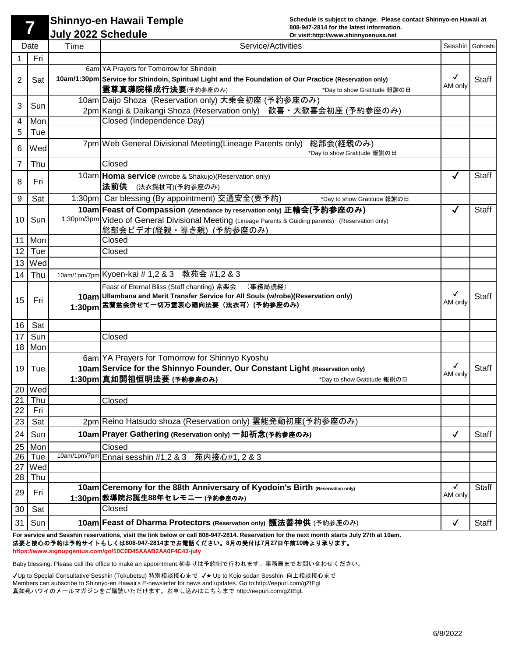**Schedule is subject to change. Please contact Shinnyo-en Hawaii at** 

## **808-947-2814 for the latest information.**<br> **1988-947-2814 for the latest information.**<br> **1988-947-2814 for the latest information.**<br> **1988-947-2814 for the latest information.**<br> **1988-947-2814 for the latest information. Shinnyo-en Hawaii Temple**

|          | Date       | Time         | Service/Activities                                                                                                                                                             |              | Sesshin Gohoshi |
|----------|------------|--------------|--------------------------------------------------------------------------------------------------------------------------------------------------------------------------------|--------------|-----------------|
|          | Fri        |              |                                                                                                                                                                                |              |                 |
|          |            |              | 6am YA Prayers for Tomorrow for Shindoin                                                                                                                                       |              |                 |
| 2        | Sat        |              | 10am/1:30pm Service for Shindoin, Spiritual Light and the Foundation of Our Practice (Reservation only)                                                                        | √<br>AM only | <b>Staff</b>    |
|          |            |              | 霊尊真導院様成行法要(予約参座のみ)<br>*Day to show Gratitude 報謝の日                                                                                                                              |              |                 |
| 3        | Sun        |              | 10am Daijo Shoza (Reservation only) 大乗会初座 (予約参座のみ)                                                                                                                             |              |                 |
|          |            |              | 2pm Kangi & Daikangi Shoza (Reservation only) 歓喜・大歓喜会初座 (予約参座のみ)                                                                                                               |              |                 |
| 4        | Mon        |              | Closed (Independence Day)                                                                                                                                                      |              |                 |
| 5        | Tue        |              |                                                                                                                                                                                |              |                 |
| 6        | Wed        |              | 7pm Web General Divisional Meeting (Lineage Parents only)<br>総部会(経親のみ)<br>*Day to show Gratitude 報謝の日                                                                          |              |                 |
| 7        | Thu        |              | Closed                                                                                                                                                                         |              |                 |
|          |            |              |                                                                                                                                                                                |              | <b>Staff</b>    |
| 8        | Fri        |              | 10am Homa service (w/robe & Shakujo) (Reservation only)<br>法前供                                                                                                                 | $\checkmark$ |                 |
|          |            |              | (法衣錫杖可)(予約参座のみ)                                                                                                                                                                |              |                 |
| 9        | Sat        |              | 1:30pm Car blessing (By appointment) 交通安全(要予約)<br>*Day to show Gratitude 報謝の日                                                                                                  |              |                 |
| 10       | Sun        |              | 10am Feast of Compassion (Attendance by reservation only) 正輪会(予約参座のみ)<br>1:30pm/3pm Video of General Divisional Meeting (Lineage Parents & Guiding parents) (Reservation only) | $\checkmark$ | <b>Staff</b>    |
|          |            |              | 総部会ビデオ(経親・導き親) (予約参座のみ)                                                                                                                                                        |              |                 |
| 11       | Mon        |              | Closed                                                                                                                                                                         |              |                 |
| 12       | Tue        |              | Closed                                                                                                                                                                         |              |                 |
| 13       | Wed        |              |                                                                                                                                                                                |              |                 |
| 14       | Thu        |              | 10am/1pm/7pm Kyoen-kai # 1,2 & 3 教苑会 #1,2 & 3                                                                                                                                  |              |                 |
|          |            |              | Feast of Eternal Bliss (Staff chanting) 常楽会<br>(事務局読経)                                                                                                                         |              |                 |
|          |            |              | 10am Ullambana and Merit Transfer Service for All Souls (w/robe)(Reservation only)                                                                                             | √            | <b>Staff</b>    |
| 15       | Fri        | 1:30pm       | 盂蘭盆会併せて一切万霊衷心廻向法要(法衣可)(予約参座のみ)                                                                                                                                                 | AM only      |                 |
|          |            |              |                                                                                                                                                                                |              |                 |
| 16       | Sat        |              |                                                                                                                                                                                |              |                 |
| 17       | Sun        |              | Closed                                                                                                                                                                         |              |                 |
| 18       | Mon        |              |                                                                                                                                                                                |              |                 |
|          |            |              | 6am YA Prayers for Tomorrow for Shinnyo Kyoshu                                                                                                                                 |              |                 |
| 19       | Tue        |              | 10am Service for the Shinnyo Founder, Our Constant Light (Reservation only)                                                                                                    | AM only      | <b>Staff</b>    |
|          |            |              | 1:30pm 真如開祖恒明法要 (予約参座のみ) また アンチャング *Day to show Gratitude 報謝の日                                                                                                                 |              |                 |
| 20       | Wed        |              |                                                                                                                                                                                |              |                 |
| 21<br>22 | Thu<br>Fri |              | Closed                                                                                                                                                                         |              |                 |
| 23       | Sat        |              | 2pm Reino Hatsudo shoza (Reservation only) 霊能発動初座(予約参座のみ)                                                                                                                      |              |                 |
|          |            |              |                                                                                                                                                                                |              |                 |
| 24       | Sun        |              | 10am Prayer Gathering (Reservation only) 一如祈念(予約参座のみ)                                                                                                                          | $\checkmark$ | Staff           |
| 25       | Mon        |              | Closed                                                                                                                                                                         |              |                 |
| 26       | Tue        | 10am/1pm/7pm | Ennai sesshin #1,2 & 3 苑内接心#1, 2 & 3                                                                                                                                           |              |                 |
| 27<br>28 | Wed<br>Thu |              |                                                                                                                                                                                |              |                 |
|          |            |              | 10am Ceremony for the 88th Anniversary of Kyodoin's Birth (Reservation only)                                                                                                   | $\checkmark$ | Staff           |
| 29       | Fri        |              | 1:30pm 教導院お誕生88年セレモニー (予約参座のみ)                                                                                                                                                 | AM only      |                 |
| 30       | Sat        |              | Closed                                                                                                                                                                         |              |                 |
|          |            |              |                                                                                                                                                                                |              |                 |
| 31       | Sun        |              | 10am Feast of Dharma Protectors (Reservation only) 護法善神供 (予約参座のみ)                                                                                                              | $\checkmark$ | Staff           |

**For service and Sesshin reservations, visit the link below or call 808-947-2814. Reservation for the next month starts July 27th at 10am.**  法要と接心の予約は予約サイトもしくは**808-947-2814**までお電話ください。**8**月の受付は**7**月**27**日午前**10**時より承ります。 **https://www.signupgenius.com/go/10C0D45AAAB2AA0F4C43-july** 

Baby blessing: Please call the office to make an appointment.初参りは予約制で行われます。事務局までお問い合わせください。

✔Up to Special Consultative Sesshin (Tokubetsu) 特別相談接心まで ✔★ Up to Kojo sodan Sesshin 向上相談接心まで Members can subscribe to Shinnyo-en Hawaii's E-newsletter for news and updates. Go to:http://eepurl.com/gZtEgL 真如苑ハワイのメールマガジンをご購読いただけます。お申し込みはこちらまで http://eepurl.com/gZtEgL